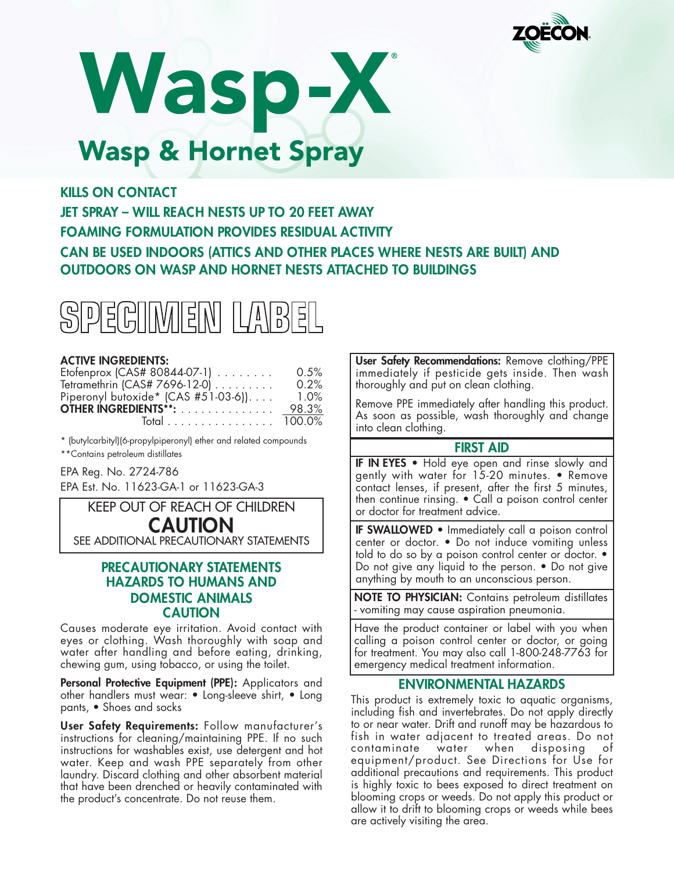

Wasp-X **Wasp & Hornet Spray** 

# **KILLS ON CONTACT**

**JET SPRAY – WILL REACH NESTS UP TO 20 FEET AWAY FOAMING FORMULATION PROVIDES RESIDUAL ACTIVITY CAN BE USED INDOORS (ATTICS AND OTHER PLACES WHERE NESTS ARE BUILT) AND OUTDOORS ON WASP AND HORNET NESTS ATTACHED TO BUILDINGS**



#### **ACTIVE INGREDIENTS:**

| Etofenprox (CAS# 80844-07-1)         | 0.5%    |
|--------------------------------------|---------|
| Tetramethrin (CAS# 7696-12-0)        | $0.2\%$ |
| Piperonyl butoxide* (CAS #51-03-6)). | $1.0\%$ |
| OTHER INGREDIENTS**:                 | 98.3%   |
| Total 100.0%                         |         |

\* (butylcarbityl)(6-propylpiperonyl) ether and related compounds \*\*Contains petroleum distillates

EPA Reg. No. 2724-786

EPA Est. No. 11623-GA-1 or 11623-GA-3

KEEP OUT OF REACH OF CHILDREN

# **CAUTION**

SEE ADDITIONAL PRECAUTIONARY STATEMENTS

# **PRECAUTIONARY STATEMENTS HAZARDS TO HUMANS AND DOMESTIC ANIMALS CAUTION**

Causes moderate eye irritation. Avoid contact with eyes or clothing. Wash thoroughly with soap and water after handling and before eating, drinking, chewing gum, using tobacco, or using the toilet.

**Personal Protective Equipment (PPE):** Applicators and other handlers must wear: • Long-sleeve shirt, • Long pants, • Shoes and socks

**User Safety Requirements:** Follow manufacturer's instructions for cleaning/maintaining PPE. If no such instructions for washables exist, use detergent and hot water. Keep and wash PPE separately from other laundry. Discard clothing and other absorbent material that have been drenched or heavily contaminated with the product's concentrate. Do not reuse them.

**User Safety Recommendations:** Remove clothing/PPE immediately if pesticide gets inside. Then wash thoroughly and put on clean clothing.

Remove PPE immediately after handling this product. As soon as possible, wash thoroughly and change into clean clothing.

#### **FIRST AID**

**IF IN EYES** • Hold eye open and rinse slowly and gently with water for 15-20 minutes. • Remove contact lenses, if present, after the first 5 minutes, then continue rinsing. • Call a poison control center or doctor for treatment advice.

**IF SWALLOWED** • Immediately call a poison control center or doctor. • Do not induce vomiting unless told to do so by a poison control center or doctor. • Do not give any liquid to the person. • Do not give anything by mouth to an unconscious person.

**NOTE TO PHYSICIAN:** Contains petroleum distillates - vomiting may cause aspiration pneumonia.

Have the product container or label with you when calling a poison control center or doctor, or going for treatment. You may also call 1-800-248-7763 for emergency medical treatment information.

#### **ENVIRONMENTAL HAZARDS**

This product is extremely toxic to aquatic organisms, including fish and invertebrates. Do not apply directly to or near water. Drift and runoff may be hazardous to fish in water adjacent to treated areas. Do not contaminate water when disposing of equipment/product. See Directions for Use for additional precautions and requirements. This product is highly toxic to bees exposed to direct treatment on blooming crops or weeds. Do not apply this product or allow it to drift to blooming crops or weeds while bees are actively visiting the area.